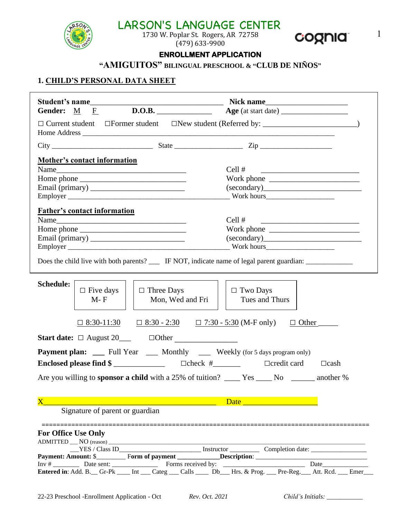

 $\left(\frac{1}{2}\right)^{1/2}$  and 1730 W. Poplar St. Rogers, AR 72758 **CLOCELC** 1 (479) 633-9900



# **ENROLLMENT APPLICATION**

**"AMIGUITOS" BILINGUAL PRESCHOOL & "CLUB DE NIÑOS"**

#### **1. CHILD'S PERSONAL DATA SHEET**

| Gender: $M \t F$ D.O.B. Age (at start date)                                                                     |                                                                                                                                |
|-----------------------------------------------------------------------------------------------------------------|--------------------------------------------------------------------------------------------------------------------------------|
|                                                                                                                 |                                                                                                                                |
|                                                                                                                 |                                                                                                                                |
| <b>Mother's contact information</b>                                                                             |                                                                                                                                |
|                                                                                                                 | Cell #<br><u> Alexandria de la contrada de la contrada de la contrada de la contrada de la contrada de la contrada de la c</u> |
|                                                                                                                 | Work phone $\frac{1}{2}$ measurement of $\frac{1}{2}$                                                                          |
|                                                                                                                 | (secondary)                                                                                                                    |
|                                                                                                                 | $Work$ hours                                                                                                                   |
| <b>Father's contact information</b>                                                                             |                                                                                                                                |
| Name                                                                                                            | Cell #<br><u> 1980 - Andrea Andrew Maria (h. 1980).</u>                                                                        |
|                                                                                                                 |                                                                                                                                |
|                                                                                                                 |                                                                                                                                |
|                                                                                                                 |                                                                                                                                |
| Does the child live with both parents? _____ IF NOT, indicate name of legal parent guardian: _________________  |                                                                                                                                |
| <b>Schedule:</b><br>$\Box$ Three Days<br>$\Box$ Five days<br>$M-F$<br>Mon, Wed and Fri                          | $\Box$ Two Days<br>Tues and Thurs                                                                                              |
| $\Box$ 8:30-11:30 $\Box$ 8:30 - 2:30 $\Box$ 7:30 - 5:30 (M-F only)<br>Start date: $\Box$ August 20 $\Box$ Other |                                                                                                                                |
| <b>Payment plan:</b> ____ Full Year ____ Monthly ____ Weekly (for 5 days program only)                          |                                                                                                                                |
|                                                                                                                 | $\Box$ cash                                                                                                                    |
| Are you willing to <b>sponsor a child</b> with a 25% of tuition? _____ Yes _____ No _______ another %           |                                                                                                                                |
|                                                                                                                 | Date <u>and the same of the same</u>                                                                                           |
| Signature of parent or guardian                                                                                 |                                                                                                                                |
| -----------------------------------<br><b>For Office Use Only</b>                                               |                                                                                                                                |
|                                                                                                                 |                                                                                                                                |
|                                                                                                                 |                                                                                                                                |
|                                                                                                                 |                                                                                                                                |
|                                                                                                                 |                                                                                                                                |
|                                                                                                                 |                                                                                                                                |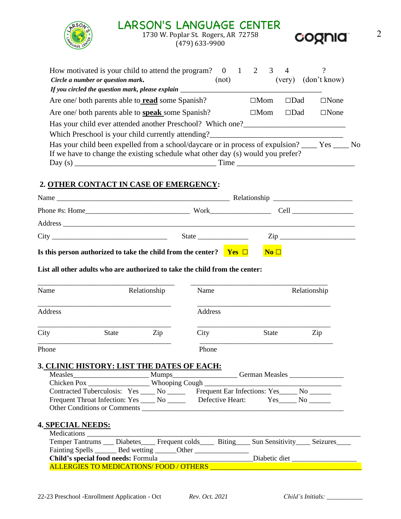# $\left(\frac{1}{2}\right)^{17}$  and  $\left(\frac{1}{2}\right)^{17}$  and  $\left(\frac{1}{2}\right)^{17}$  and  $\left(\frac{1}{2}\right)^{17}$  and  $\left(\frac{1}{2}\right)^{17}$  and  $\left(\frac{1}{2}\right)^{17}$  and  $\left(\frac{1}{2}\right)^{17}$  and  $\left(\frac{1}{2}\right)^{17}$  and  $\left(\frac{1}{2}\right)^{17}$  and  $\left(\frac{1}{2}\right)^{17}$  and



(479) 633-9900



| How motivated is your child to attend the program?                                                  |       | 3             | 4                   |                |    |
|-----------------------------------------------------------------------------------------------------|-------|---------------|---------------------|----------------|----|
| Circle a number or question mark.                                                                   | (not) |               | (very)              | (don't know)   |    |
| If you circled the question mark, please explain ____                                               |       |               |                     |                |    |
| Are one/ both parents able to <b>read</b> some Spanish?                                             |       | $\square$ Mom | ⊟Dad                | $\square$ None |    |
| Are one/ both parents able to <b>speak</b> some Spanish?                                            |       | $\square$ Mom | $\Box\mathrm{D}$ ad | $\square$ None |    |
| Has your child ever attended another Preschool? Which one?                                          |       |               |                     |                |    |
| Which Preschool is your child currently attending?                                                  |       |               |                     |                |    |
| Has your child been expelled from a school/daycare or in process of expulsion? ______ Yes _________ |       |               |                     |                | No |
| If we have to change the existing schedule what other day (s) would you prefer?                     |       |               |                     |                |    |
| Day $(s)$                                                                                           | Time  |               |                     |                |    |

### **2. OTHER CONTACT IN CASE OF EMERGENCY:**

| Name                                                                           |                                                                                                                                                                                                                                |  |                 |  |
|--------------------------------------------------------------------------------|--------------------------------------------------------------------------------------------------------------------------------------------------------------------------------------------------------------------------------|--|-----------------|--|
|                                                                                |                                                                                                                                                                                                                                |  | $Work$ $Cell$   |  |
|                                                                                |                                                                                                                                                                                                                                |  |                 |  |
|                                                                                | State in the state of the state in the state in the state in the state in the state in the state in the state in the state in the state in the state in the state in the state in the state in the state in the state in the s |  | $\mathsf{Zip}$  |  |
| Is this person authorized to take the child from the center? <b>Yes</b> $\Box$ |                                                                                                                                                                                                                                |  | No <sub>D</sub> |  |

#### **List all other adults who are authorized to take the child from the center:**

| Name    |              | Relationship | Name    |              | Relationship |
|---------|--------------|--------------|---------|--------------|--------------|
| Address |              |              | Address |              |              |
| City    | <b>State</b> | Zip          | City    | <b>State</b> | Zip          |
| Phone   |              |              | Phone   |              |              |

#### **3. CLINIC HISTORY: LIST THE DATES OF EACH:**

| <b>Measles</b>                           |              |                                        | <b>German Measles</b> |     |
|------------------------------------------|--------------|----------------------------------------|-----------------------|-----|
| Chicken Pox                              |              |                                        |                       |     |
| Contracted Tuberculosis: Yes             | $N$ o $\_\_$ | Frequent Ear Infections: Yes_______ No |                       |     |
| Frequent Throat Infection: Yes ______ No |              | Defective Heart:                       | Yes.                  | No. |
| <b>Other Conditions or Comments</b>      |              |                                        |                       |     |

#### **4. SPECIAL NEEDS:**

| Medications                                                                                                 |  |               |  |
|-------------------------------------------------------------------------------------------------------------|--|---------------|--|
| Temper Tantrums ____ Diabetes ______ Frequent colds ______ Biting _____ Sun Sensitivity _____ Seizures ____ |  |               |  |
| Fainting Spells _______ Bed wetting _______ Other                                                           |  |               |  |
| Child's special food needs: Formula                                                                         |  | Diabetic diet |  |
| <b>ALLERGIES TO MEDICATIONS/FOOD / OTHERS</b>                                                               |  |               |  |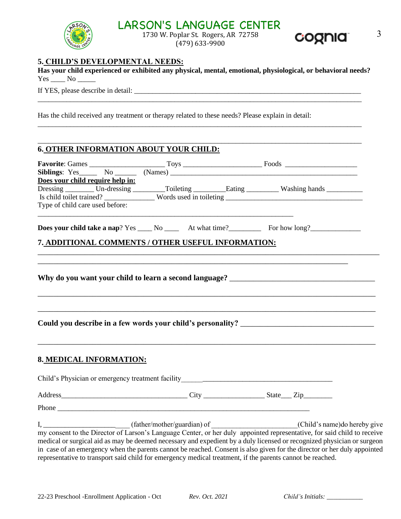# **LARSON'S LANGUAGE CENTER**



 $\left(\frac{3}{2}\right)$  1730 W. Poplar St. Rogers, AR 72758 **CLOCELC** 3 (479) 633-9900



#### **5. CHILD'S DEVELOPMENTAL NEEDS:**

|        | Has your child experienced or exhibited any physical, mental, emotional, physiological, or behavioral needs? |  |  |
|--------|--------------------------------------------------------------------------------------------------------------|--|--|
| Yes No |                                                                                                              |  |  |

\_\_\_\_\_\_\_\_\_\_\_\_\_\_\_\_\_\_\_\_\_\_\_\_\_\_\_\_\_\_\_\_\_\_\_\_\_\_\_\_\_\_\_\_\_\_\_\_\_\_\_\_\_\_\_\_\_\_\_\_\_\_\_\_\_\_\_\_\_\_\_\_\_\_\_\_\_\_\_\_\_\_\_\_\_\_\_\_\_\_

\_\_\_\_\_\_\_\_\_\_\_\_\_\_\_\_\_\_\_\_\_\_\_\_\_\_\_\_\_\_\_\_\_\_\_\_\_\_\_\_\_\_\_\_\_\_\_\_\_\_\_\_\_\_\_\_\_\_\_\_\_\_\_\_\_\_\_\_\_\_\_\_\_\_\_\_\_\_\_\_\_\_\_\_\_\_\_\_\_\_

\_\_\_\_\_\_\_\_\_\_\_\_\_\_\_\_\_\_\_\_\_\_\_\_\_\_\_\_\_\_\_\_\_\_\_\_\_\_\_\_\_\_\_\_\_\_\_\_\_\_\_\_\_\_\_\_\_\_\_\_\_\_\_\_\_\_\_\_\_\_\_\_\_\_\_\_\_\_\_\_\_\_\_\_\_\_\_\_\_\_

If YES, please describe in detail: \_\_\_\_\_\_\_\_\_\_\_\_\_\_\_\_\_\_\_\_\_\_\_\_\_\_\_\_\_\_\_\_\_\_\_\_\_\_\_\_\_\_\_\_\_\_\_\_\_\_\_\_\_\_\_\_\_\_\_\_\_\_\_

Has the child received any treatment or therapy related to these needs? Please explain in detail:

#### **6. OTHER INFORMATION ABOUT YOUR CHILD:**

|                                  | Siblings: Yes No No Names) No Names No Names No Names No Names No Names No Names No Names No Names No Names No |                                                              |
|----------------------------------|----------------------------------------------------------------------------------------------------------------|--------------------------------------------------------------|
| Does your child require help in: |                                                                                                                |                                                              |
|                                  | Dressing _________ Un-dressing _________Toileting __________ Eating __________ Washing hands ________          |                                                              |
|                                  |                                                                                                                |                                                              |
| Type of child care used before:  |                                                                                                                |                                                              |
|                                  | Does your child take a nap? Yes _____ No ________ At what time? _______________ For how long?                  |                                                              |
|                                  | 7. ADDITIONAL COMMENTS / OTHER USEFUL INFORMATION:                                                             |                                                              |
|                                  |                                                                                                                |                                                              |
|                                  |                                                                                                                |                                                              |
| 8. MEDICAL INFORMATION:          |                                                                                                                |                                                              |
|                                  |                                                                                                                |                                                              |
|                                  |                                                                                                                |                                                              |
|                                  |                                                                                                                |                                                              |
|                                  |                                                                                                                | I, (father/mother/guardian) of (Child's name) do hereby give |

my consent to the Director of Larson's Language Center, or her duly appointed representative, for said child to receive medical or surgical aid as may be deemed necessary and expedient by a duly licensed or recognized physician or surgeon in case of an emergency when the parents cannot be reached. Consent is also given for the director or her duly appointed representative to transport said child for emergency medical treatment, if the parents cannot be reached.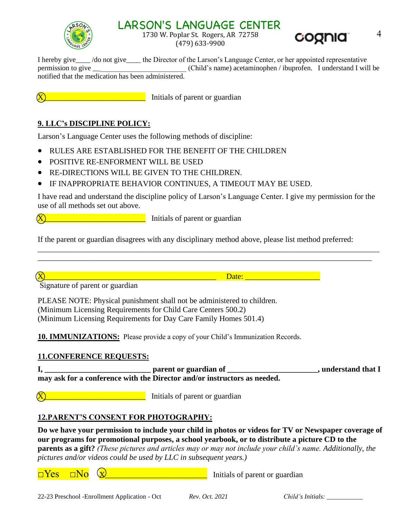

# LARSON'S LANGUAGE CENTER

 $\left(\frac{1}{2}\right)^{1/2}$  and  $\left(\frac{1}{2}\right)^{1/2}$  1730 W. Poplar St. Rogers, AR 72758 **C.OODIC** 4 (479) 633-9900



I hereby give\_\_\_\_ /do not give\_\_\_\_ the Director of the Larson's Language Center, or her appointed representative permission to give  $(Child's name)$  acetaminophen / ibuprofen. I understand I will be notified that the medication has been administered.

**X\_\_\_\_\_\_\_\_\_\_\_\_\_\_\_\_\_\_\_\_\_** Initials of parent or guardian

### **9. LLC's DISCIPLINE POLICY:**

Larson's Language Center uses the following methods of discipline:

- RULES ARE ESTABLISHED FOR THE BENEFIT OF THE CHILDREN
- POSITIVE RE-ENFORMENT WILL BE USED
- RE-DIRECTIONS WILL BE GIVEN TO THE CHILDREN.
- IF INAPPROPRIATE BEHAVIOR CONTINUES, A TIMEOUT MAY BE USED.

I have read and understand the discipline policy of Larson's Language Center. I give my permission for the use of all methods set out above.

\_\_\_\_\_\_\_\_\_\_\_\_\_\_\_\_\_\_\_\_\_\_\_\_\_\_\_\_\_\_\_\_\_\_\_\_\_\_\_\_\_\_\_\_\_\_\_\_\_\_\_\_\_\_\_\_\_\_\_\_\_\_\_\_\_\_\_\_\_\_\_\_\_\_\_\_\_\_\_\_\_\_\_\_\_\_\_ \_\_\_\_\_\_\_\_\_\_\_\_\_\_\_\_\_\_\_\_\_\_\_\_\_\_\_\_\_\_\_\_\_\_\_\_\_\_\_\_\_\_\_\_\_\_\_\_\_\_\_\_\_\_\_\_\_\_\_\_\_\_\_\_\_\_\_\_\_\_\_\_\_\_\_\_\_\_\_\_\_\_\_\_\_

<u>Nettle-Alexander Communications</u> Initials of parent or guardian

If the parent or guardian disagrees with any disciplinary method above, please list method preferred:

Signature of parent or guardian

PLEASE NOTE: Physical punishment shall not be administered to children. (Minimum Licensing Requirements for Child Care Centers 500.2) (Minimum Licensing Requirements for Day Care Family Homes 501.4)

**10. IMMUNIZATIONS:** Please provide a copy of your Child's Immunization Records.

#### **11.CONFERENCE REQUESTS:**

**I, \_\_\_\_\_\_\_\_\_\_\_\_\_\_\_\_\_\_\_\_\_\_\_\_\_\_\_ parent or guardian of \_\_\_\_\_\_\_\_\_\_\_\_\_\_\_\_\_\_\_\_\_\_\_, understand that I may ask for a conference with the Director and/or instructors as needed.** 

<u>Networks and interventional</u> Initials of parent or guardian

#### **12.PARENT'S CONSENT FOR PHOTOGRAPHY:**

**Do we have your permission to include your child in photos or videos for TV or Newspaper coverage of our programs for promotional purposes, a school yearbook, or to distribute a picture CD to the parents as a gift?** *(These pictures and articles may or may not include your child's name. Additionally, the pictures and/or videos could be used by LLC in subsequent years.)* 

 $\square$  Yes  $\square$ No  $\vee$   $\square$   $\square$   $\square$  Initials of parent or guardian

 $\text{Date:}$   $\Box$